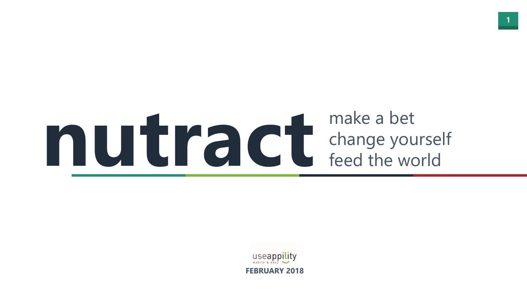

# make a bet change yourself feed the world

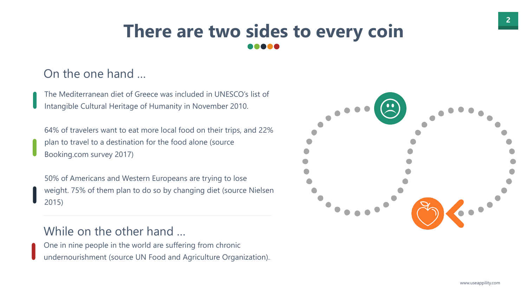



# On the one hand …

The Mediterranean diet of Greece was included in UNESCO's list of Intangible Cultural Heritage of Humanity in November 2010.

64% of travelers want to eat more local food on their trips, and 22% plan to travel to a destination for the food alone (source Booking.com survey 2017)

50% of Americans and Western Europeans are trying to lose weight. 75% of them plan to do so by changing diet (source Nielsen 2015)

## While on the other hand …

One in nine people in the world are suffering from chronic undernourishment (source UN Food and Agriculture Organization)..



# **There are two sides to every coin**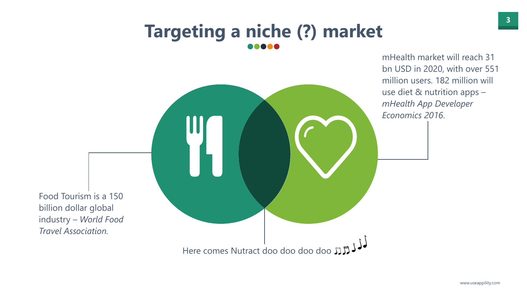

mHealth market will reach 31 bn USD in 2020, with over 551 million users. 182 million will use diet & nutrition apps – *mHealth App Developer Economics 2016*.

Food Tourism is a 150 billion dollar global industry – *World Food Travel Association.*

Here comes Nutract doo doo doo doo JJJJJ

# **Targeting a niche (?) market**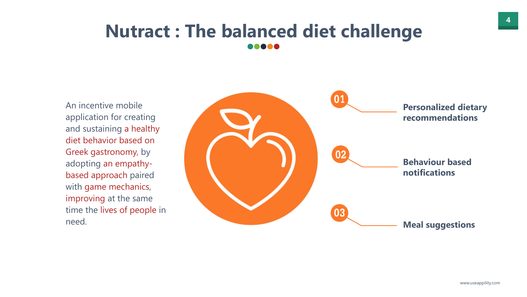

# **Nutract : The balanced diet challenge .....**



An incentive mobile application for creating and sustaining a healthy diet behavior based on Greek gastronomy, by adopting an empathybased approach paired with game mechanics, improving at the same time the lives of people in need.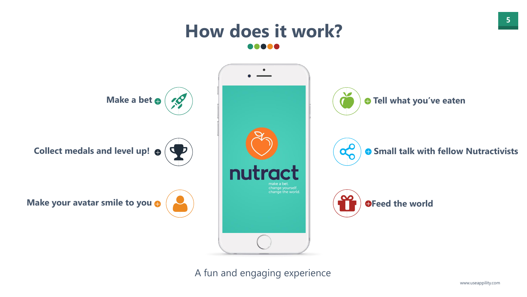



# **How does it work?** DO 6











### A fun and engaging experience

www.useappility.com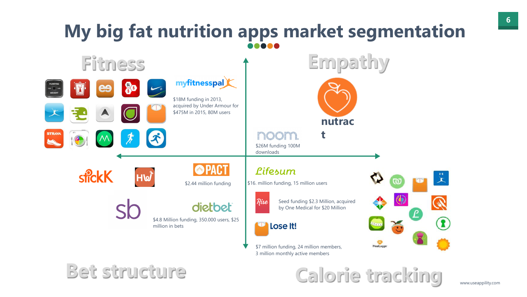



# **My big fat nutrition apps market segmentation** 8080C





\$7 million funding, 24 million members, 3 million monthly active members

nooni. \$26M funding 100M

**Bet structure Calorie tracking**

**Empathy**

Seed funding \$2.3 Million, acquired by One Medical for \$20 Million

Lose It!

downloads

### Lifesum

\$2.44 million funding \$16. million funding, 15 million users



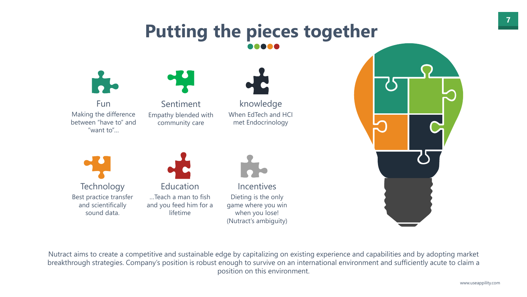

Nutract aims to create a competitive and sustainable edge by capitalizing on existing experience and capabilities and by adopting market breakthrough strategies. Company's position is robust enough to survive on an international environment and sufficiently acute to claim a position on this environment.



Fun Making the difference between "have to" and "want to"…



Sentiment Empathy blended with community care





Education …Teach a man to fish and you feed him for a lifetime



knowledge When EdTech and HCI met Endocrinology

Incentives Dieting is the only game where you win when you lose! (Nutract's ambiguity)



# **Putting the pieces together**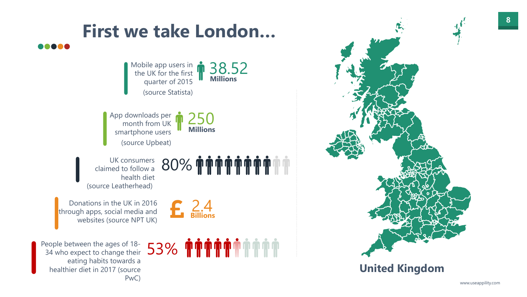



# **First we take London…**

## **United Kingdom**

**Millions** 

Mobile app users in **6 38.52**<br>the UK for the first **1** 58.52 quarter of 2015 (source Statista)

App downloads per **1 250**<br>month from UK **1 250** smartphone users (source Upbeat)

**Millions** 

UK consumers 80% claimed to follow a health diet (source Leatherhead)

Donations in the UK in 2016 through apps, social media and websites (source NPT UK)

People between the ages of 18 eople between the ages of 18-<br>34 who expect to change their 53% eating habits towards a healthier diet in 2017 (source PwC)

.....



**Billions**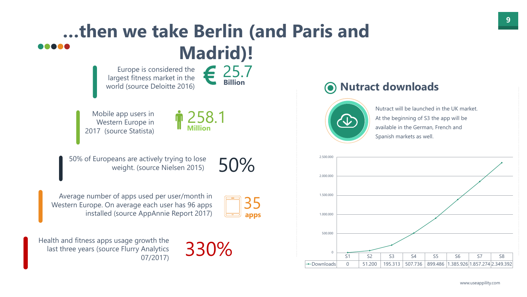



## **…then we take Berlin (and Paris and ..... Madrid)!** Europe is considered the **Billion**

Mobile app users in **nnnnnnn 258.1**<br>Western Europe in **nnnnnnnnn** Western Europe in 2017 (source Statista)

largest fitness market in the world (source Deloitte 2016)

Health and fitness apps usage growth the last three years (source Flurry Analytics Analytics 330%

**Million**

50% of Europeans are actively trying to lose<br>weight. (source Nielsen 2015) 50%

Average number of apps used per user/month in<br>estern Europe. On average each user has 96 apps Western Europe. On average each user has 96 apps installed (source AppAnnie Report 2017)





# **Nutract downloads**



Nutract will be launched in the UK market. At the beginning of S3 the app will be available in the German, French and Spanish markets as well.

**apps**

www.useappility.com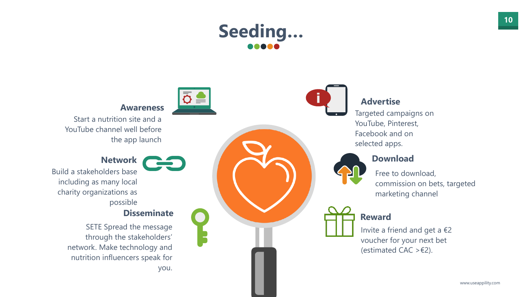

# **Seeding…**  .....



Invite a friend and get a €2 voucher for your next bet (estimated CAC >  $\epsilon$ 2).

Targeted campaigns on YouTube, Pinterest, Facebook and on selected apps.



### **Advertise**

### **Reward**

Free to download, commission on bets, targeted marketing channel



#### **Download**

Build a stakeholders base including as many local charity organizations as possible

#### **Network**

SETE Spread the message through the stakeholders' network. Make technology and nutrition influencers speak for you.



#### **Disseminate**

CHO

Start a nutrition site and a YouTube channel well before the app launch

#### **Awareness**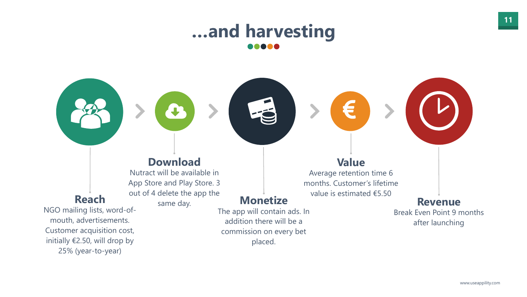

**Reach**

Nutract will be available in App Store and Play Store. 3 out of 4 delete the app the same day. **Monetize** 

NGO mailing lists, word-ofmouth, advertisements. Customer acquisition cost, initially €2.50, will drop by 25% (year-to-year)



### **Download**

**…and harvesting** .....

> The app will contain ads. In addition there will be a commission on every bet placed.

### **Value**

 $\boldsymbol{\epsilon}$ 

Average retention time 6 months. Customer's lifetime value is estimated €5.50

### **Revenue**

Break Even Point 9 months after launching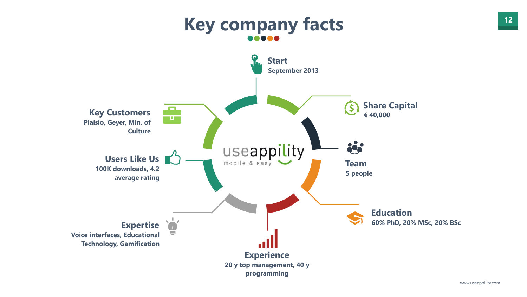

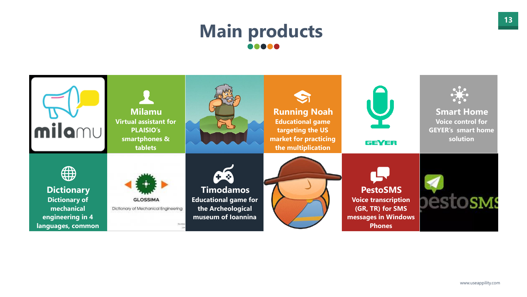

# **Main products**  88888